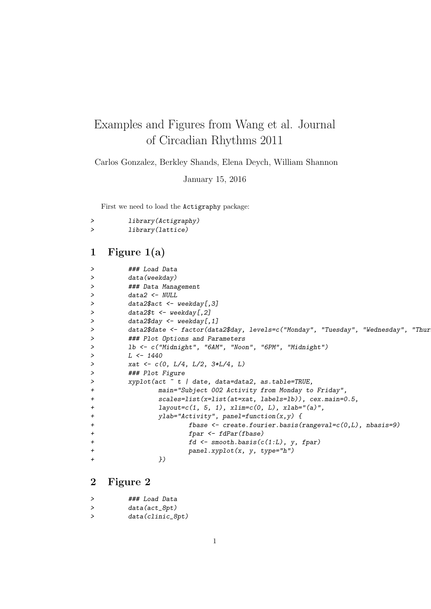## Examples and Figures from Wang et al. Journal of Circadian Rhythms 2011

Carlos Gonzalez, Berkley Shands, Elena Deych, William Shannon

January 15, 2016

First we need to load the Actigraphy package:

```
> library(Actigraphy)
> library(lattice)
```
## 1 Figure 1(a)

| $\geq$    | ### Load Data                                                                      |
|-----------|------------------------------------------------------------------------------------|
| $\geq$    | data(weekday)                                                                      |
| $\geq$    | ### Data Management                                                                |
| ≻         | $data2 \leftarrow NULL$                                                            |
| ≻         | $data2$act < -$ weakday[, 3]                                                       |
| $\geq$    | $data2$ \$t <- weekday $[, 2]$                                                     |
| ≻         | data2\$day <- weekday[,1]                                                          |
| ≻         | data2\$date <- factor(data2\$day, levels=c("Monday", "Tuesday", "Wednesday", "Thur |
| ≻         | ### Plot Options and Parameters                                                    |
| ≻         | 1b <- c("Midnight", "6AM", "Noon", "6PM", "Midnight")                              |
| ≻         | $L \leftarrow 1440$                                                                |
| ≻         | xat $\leftarrow$ c(0, L/4, L/2, 3*L/4, L)                                          |
| ≻         | ### Plot Figure                                                                    |
| ≻         | xyplot(act $\tilde{t}$ t / date, data=data2, as.table=TRUE,                        |
| $\ddot{}$ | main="Subject 002 Activity from Monday to Friday",                                 |
| $\ddot{}$ | $scales=list(x=list(at=xt, labels=lb)), cex.mainloop.5,$                           |
| $\pmb{+}$ | $layout=c(1, 5, 1), xlim=c(0, L), xlab="(a)",$                                     |
| $\ddot{}$ | ylab="Activity", panel=function(x,y) {                                             |
| $\pmb{+}$ | fbase $\leq$ create.fourier.basis(rangeval= $c(0,L)$ , nbasis=9)                   |
| $\pmb{+}$ | $fpar \leftarrow fdPar(fbase)$                                                     |
| $\pmb{+}$ | $fd \leftarrow smooth.basis(c(1:L), y, fpar)$                                      |
| $\pmb{+}$ | $panel.xyplot(x, y, type="h")$                                                     |
| $\ddot{}$ | })                                                                                 |
|           |                                                                                    |

## 2 Figure 2

> ### Load Data > data(act\_8pt) > data(clinic\_8pt)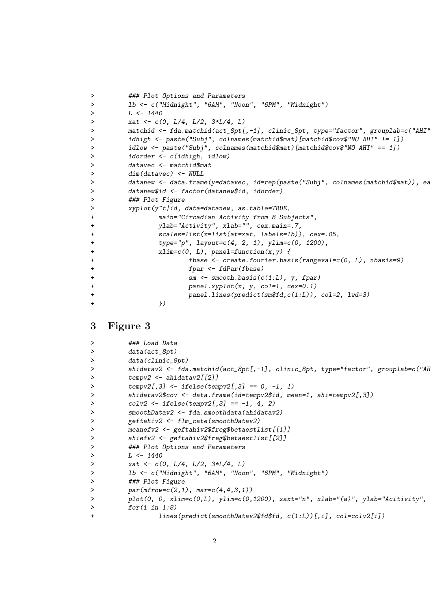```
> ### Plot Options and Parameters
> lb <- c("Midnight", "6AM", "Noon", "6PM", "Midnight")
> L < -1440> xat <- c(0, L/4, L/2, 3*L/4, L)
> matchid <- fda.matchid(act_8pt[,-1], clinic_8pt, type="factor", grouplab=c("AHI"
> idhigh <- paste("Subj", colnames(matchid$mat)[matchid$cov$"NO AHI" != 1])
> idlow <- paste("Subj", colnames(matchid$mat)[matchid$cov$"NO AHI" == 1])
> idorder <- c(idhigh, idlow)
> datavec <- matchid$mat
> dim(datavec) <- NULL
> datanew <- data.frame(y=datavec, id=rep(paste("Subj", colnames(matchid$mat)), ea
> datanew$id <- factor(datanew$id, idorder)
> ### Plot Figure
> xyplot(y<sup>~t</sup>/id, data=datanew, as.table=TRUE,<br>+ main="Circadian Activity from 8 Sub
              main="Circadian Activity from 8 Subjects",
+ ylab="Activity", xlab="", cex.main=.7,
+ scales=list(x=list(at=xat, labels=lb)), cex=.05,
+ type="p", layout=c(4, 2, 1), ylim=c(0, 1200),
+ xlim=c(0, L), panel=function(x,y) {
+ fbase <- create.fourier.basis(rangeval=c(0, L), nbasis=9)
+ fpar <- fdPar(fbase)
+ sm <- smooth.basis(c(1:L), y, fpar)
+ panel.xyplot(x, y, col=1, cex=0.1)
+ panel.lines(predict(sm$fd,c(1:L)), col=2, lwd=3)
+ })
```
## 3 Figure 3

|                | ### Load Data                                                                       |
|----------------|-------------------------------------------------------------------------------------|
|                | data(act_8pt)                                                                       |
|                | $data(clinic_8pt)$                                                                  |
|                | ahidatav2 <- fda.matchid(act_8pt[,-1], clinic_8pt, type="factor", grouplab=c("AH    |
|                | $tempv2 \leftarrow \text{ahidatav2}[[2]]$                                           |
|                | $tempv2[,3]$ <- ifelse(tempv2[,3] == 0, -1, 1)                                      |
|                | ahidatav2\$cov <- data.frame(id=tempv2\$id, mean=1, ahi=tempv2[,3])                 |
|                | $colv2 \leftarrow ifelse(tempv2[,3] == -1, 4, 2)$                                   |
|                | smoothDatav2 <- fda.smoothdata(ahidatav2)                                           |
|                | geftahiv2 <- flm_cate(smoothDatav2)                                                 |
|                | meanefv2 <- geftahiv2\$freg\$betaestlist[[1]]                                       |
|                | ahiefv2 <- geftahiv2\$freg\$betaestlist[[2]]                                        |
|                | ### Plot Options and Parameters                                                     |
|                | $L \leftarrow 1440$                                                                 |
|                | xat <- $c(0, L/4, L/2, 3*L/4, L)$                                                   |
|                | 1b <- c("Midnight", "6AM", "Noon", "6PM", "Midnight")                               |
|                | ### Plot Figure                                                                     |
|                | $par(mfrow=c(2,1), mar=c(4,4,3,1))$                                                 |
|                | $plot(0, 0, xlim=c(0, L), ylim=c(0, 1200), xaxt="n", xlab="(a)", ylab="Acitivity",$ |
| $\geq$         | for(i in 1:8)                                                                       |
| $\overline{+}$ | lines(predict(smoothDatav2\$fd\$fd, c(1:L))[,i], col=colv2[i])                      |
|                |                                                                                     |